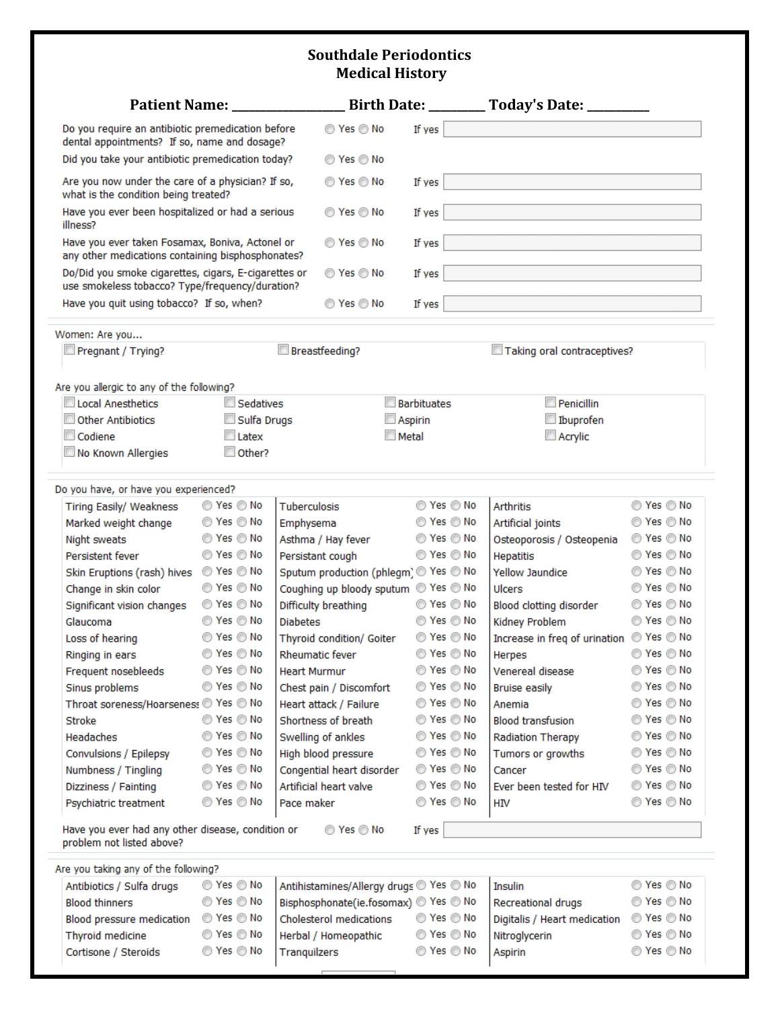## **Southdale Periodontics Medical History**

|                                                                                                           | <b>Patient Name:</b>                 |                                         |              |                                      | Birth Date: _________ Today's Date: ________ |            |  |  |  |  |  |
|-----------------------------------------------------------------------------------------------------------|--------------------------------------|-----------------------------------------|--------------|--------------------------------------|----------------------------------------------|------------|--|--|--|--|--|
| Do you require an antibiotic premedication before<br>dental appointments? If so, name and dosage?         |                                      | ◎ Yes ◎ No                              | If yes       |                                      |                                              |            |  |  |  |  |  |
| Did you take your antibiotic premedication today?                                                         |                                      | ◯ Yes ◯ No                              |              |                                      |                                              |            |  |  |  |  |  |
| Are you now under the care of a physician? If so,<br>what is the condition being treated?                 |                                      | ◎ Yes ◎ No                              | If yes       |                                      |                                              |            |  |  |  |  |  |
| Have you ever been hospitalized or had a serious<br>illness?                                              |                                      | ◎ Yes ◎ No                              | If yes       |                                      |                                              |            |  |  |  |  |  |
| Have you ever taken Fosamax, Boniva, Actonel or                                                           | ◯ Yes ◯ No                           | If yes                                  |              |                                      |                                              |            |  |  |  |  |  |
| any other medications containing bisphosphonates?<br>Do/Did you smoke cigarettes, cigars, E-cigarettes or | ◯ Yes ◯ No                           | If yes                                  |              |                                      |                                              |            |  |  |  |  |  |
| use smokeless tobacco? Type/frequency/duration?                                                           |                                      |                                         |              |                                      |                                              |            |  |  |  |  |  |
| Have you quit using tobacco? If so, when?                                                                 | ◎ Yes ◎ No                           | If yes                                  |              |                                      |                                              |            |  |  |  |  |  |
| Women: Are you                                                                                            |                                      |                                         |              |                                      |                                              |            |  |  |  |  |  |
| Pregnant / Trying?                                                                                        | Breastfeeding?                       |                                         |              | Taking oral contraceptives?          |                                              |            |  |  |  |  |  |
| Are you allergic to any of the following?                                                                 |                                      |                                         |              |                                      |                                              |            |  |  |  |  |  |
| Local Anesthetics                                                                                         | Sedatives                            |                                         | Barbituates  |                                      | Penicillin                                   |            |  |  |  |  |  |
| <b>Other Antibiotics</b>                                                                                  | Sulfa Drugs                          |                                         | Aspirin      |                                      | Ibuprofen                                    |            |  |  |  |  |  |
| Codiene                                                                                                   | Latex                                |                                         | <b>Metal</b> |                                      | $\Box$ Acrylic                               |            |  |  |  |  |  |
| No Known Allergies                                                                                        | $\Box$ Other?                        |                                         |              |                                      |                                              |            |  |  |  |  |  |
| Do you have, or have you experienced?                                                                     |                                      |                                         |              |                                      |                                              |            |  |  |  |  |  |
| Tiring Easily/ Weakness                                                                                   | ◯ Yes ◯ No                           | Tuberculosis                            |              | ◎ Yes ◎ No                           | Arthritis                                    | ◯ Yes ◯ No |  |  |  |  |  |
| Marked weight change                                                                                      | ◎ Yes ◎ No                           | Emphysema                               |              | $\odot$ Yes $\odot$ No               | Artificial joints                            | ◎ Yes ◎ No |  |  |  |  |  |
|                                                                                                           | ◎ Yes ◎ No                           |                                         |              | ◯ Yes ◯ No                           |                                              | ◎ Yes ◎ No |  |  |  |  |  |
| Night sweats                                                                                              | ◯ Yes ◯ No                           | Asthma / Hay fever                      | ◯ Yes ◯ No   |                                      | Osteoporosis / Osteopenia                    | ◎ Yes ◎ No |  |  |  |  |  |
| Persistent fever                                                                                          | ◎ Yes ◎ No                           | Persistant cough                        |              |                                      | <b>Hepatitis</b>                             | ◎ Yes ◎ No |  |  |  |  |  |
| Skin Eruptions (rash) hives                                                                               |                                      | Sputum production (phlegm) Ves O No     |              |                                      | <b>Yellow Jaundice</b>                       | ◎ Yes ◎ No |  |  |  |  |  |
| Change in skin color                                                                                      | $\circledcirc$ Yes $\circledcirc$ No | Coughing up bloody sputum @ Yes @ No    |              |                                      | Ulcers                                       |            |  |  |  |  |  |
| Significant vision changes                                                                                | ◎ Yes ◎ No                           | Difficulty breathing                    |              | ◎ Yes ◎ No                           | Blood clotting disorder                      | ◎ Yes ◎ No |  |  |  |  |  |
| Glaucoma                                                                                                  | ◎ Yes ◎ No                           | <b>Diabetes</b>                         |              | ◯ Yes ◯ No                           | Kidney Problem                               | ◎ Yes ◎ No |  |  |  |  |  |
| Loss of hearing                                                                                           | ◯ Yes ◯ No                           | Thyroid condition/ Goiter               | ◯ Yes ◯ No   |                                      | Increase in freq of urination @ Yes @ No     |            |  |  |  |  |  |
| Ringing in ears                                                                                           | © Yes © No                           | Rheumatic fever                         | ◎ Yes ◎ No   |                                      | Herpes                                       | ◎ Yes ◎ No |  |  |  |  |  |
| Frequent nosebleeds                                                                                       | ◎ Yes ◎ No                           | <b>Heart Murmur</b>                     | ◎ Yes ◎ No   |                                      | Venereal disease                             | ◎ Yes ◎ No |  |  |  |  |  |
| Sinus problems                                                                                            | ◎ Yes ◎ No                           | Chest pain / Discomfort                 |              | ◯ Yes ◯ No                           | <b>Bruise easily</b>                         | ◎ Yes ◎ No |  |  |  |  |  |
| Throat soreness/Hoarseness C Yes C No                                                                     |                                      | Heart attack / Failure                  |              | ◎ Yes ◎ No                           | Anemia                                       | ◎ Yes ◎ No |  |  |  |  |  |
| <b>Stroke</b>                                                                                             | ◎ Yes ◎ No                           | Shortness of breath                     |              | ◎ Yes ◎ No                           | <b>Blood transfusion</b>                     | ◎ Yes ◎ No |  |  |  |  |  |
| Headaches                                                                                                 | ◎ Yes ◎ No                           | Swelling of ankles                      |              | $\circledcirc$ Yes $\circledcirc$ No | Radiation Therapy                            | ◎ Yes ◎ No |  |  |  |  |  |
| Convulsions / Epilepsy                                                                                    | ◎ Yes ◎ No                           | High blood pressure                     |              | ◎ Yes ◎ No                           | Tumors or growths                            | ◎ Yes ◎ No |  |  |  |  |  |
| Numbness / Tingling                                                                                       | $\circ$ Yes $\circ$ No               | Congential heart disorder               |              | $\circledcirc$ Yes $\circledcirc$ No | Cancer                                       | ◎ Yes ◎ No |  |  |  |  |  |
| Dizziness / Fainting                                                                                      | ◎ Yes ◎ No                           | Artificial heart valve                  |              | ◯ Yes ◯ No                           | Ever been tested for HIV                     | ◎ Yes ◎ No |  |  |  |  |  |
| Psychiatric treatment                                                                                     | $\circ$ Yes $\circ$ No               | Pace maker                              |              | $\circledcirc$ Yes $\circledcirc$ No | НIV                                          | ◎ Yes ◎ No |  |  |  |  |  |
| Have you ever had any other disease, condition or<br>◎ Yes ◎ No<br>If yes<br>problem not listed above?    |                                      |                                         |              |                                      |                                              |            |  |  |  |  |  |
| Are you taking any of the following?                                                                      |                                      |                                         |              |                                      |                                              |            |  |  |  |  |  |
| Antibiotics / Sulfa drugs                                                                                 | ◎ Yes ◎ No                           | Antihistamines/Allergy drugs O Yes O No |              |                                      | Insulin                                      | ◎ Yes ◎ No |  |  |  |  |  |
| <b>Blood thinners</b>                                                                                     | ◎ Yes ◎ No                           | Bisphosphonate(ie.fosomax) O Yes O No   |              |                                      | Recreational drugs                           | ◎ Yes ◎ No |  |  |  |  |  |
| Blood pressure medication                                                                                 | $\circledcirc$ Yes $\circledcirc$ No | Cholesterol medications                 |              | $\circ$ Yes $\circ$ No               | Digitalis / Heart medication                 | ◯ Yes ◯ No |  |  |  |  |  |
| Thyroid medicine                                                                                          | ◎ Yes ◎ No                           | Herbal / Homeopathic                    |              | $\circ$ Yes $\circ$ No               | Nitroglycerin                                | ◎ Yes ◎ No |  |  |  |  |  |
|                                                                                                           | ◎ Yes ◎ No                           |                                         |              |                                      |                                              | ◎ Yes ◎ No |  |  |  |  |  |
| Cortisone / Steroids                                                                                      |                                      | Tranquilzers                            |              | ◎ Yes ◎ No                           | Aspirin                                      |            |  |  |  |  |  |